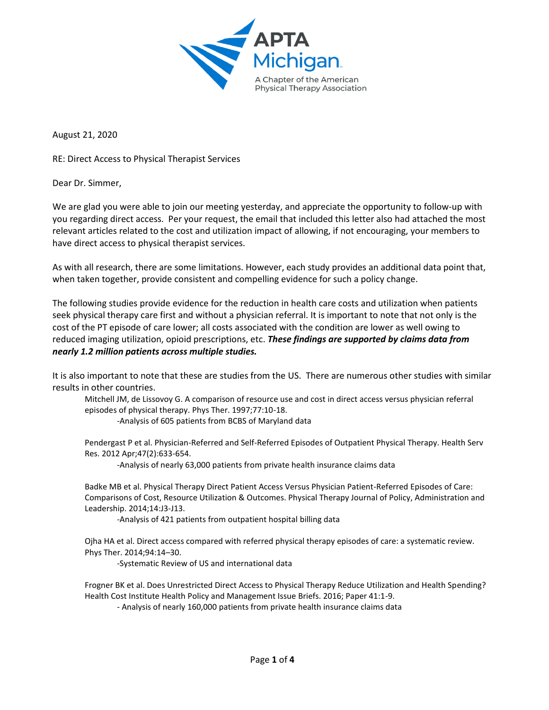

August 21, 2020

RE: Direct Access to Physical Therapist Services

Dear Dr. Simmer,

We are glad you were able to join our meeting yesterday, and appreciate the opportunity to follow-up with you regarding direct access. Per your request, the email that included this letter also had attached the most relevant articles related to the cost and utilization impact of allowing, if not encouraging, your members to have direct access to physical therapist services.

As with all research, there are some limitations. However, each study provides an additional data point that, when taken together, provide consistent and compelling evidence for such a policy change.

The following studies provide evidence for the reduction in health care costs and utilization when patients seek physical therapy care first and without a physician referral. It is important to note that not only is the cost of the PT episode of care lower; all costs associated with the condition are lower as well owing to reduced imaging utilization, opioid prescriptions, etc. *These findings are supported by claims data from nearly 1.2 million patients across multiple studies.*

It is also important to note that these are studies from the US. There are numerous other studies with similar results in other countries.

Mitchell JM, de Lissovoy G. A comparison of resource use and cost in direct access versus physician referral episodes of physical therapy. Phys Ther. 1997;77:10-18.

-Analysis of 605 patients from BCBS of Maryland data

Pendergast P et al. Physician-Referred and Self-Referred Episodes of Outpatient Physical Therapy. Health Serv Res. 2012 Apr;47(2):633-654.

-Analysis of nearly 63,000 patients from private health insurance claims data

Badke MB et al. Physical Therapy Direct Patient Access Versus Physician Patient-Referred Episodes of Care: Comparisons of Cost, Resource Utilization & Outcomes. Physical Therapy Journal of Policy, Administration and Leadership. 2014;14:J3-J13.

-Analysis of 421 patients from outpatient hospital billing data

Ojha HA et al. Direct access compared with referred physical therapy episodes of care: a systematic review. Phys Ther. 2014;94:14–30.

-Systematic Review of US and international data

Frogner BK et al. Does Unrestricted Direct Access to Physical Therapy Reduce Utilization and Health Spending? Health Cost Institute Health Policy and Management Issue Briefs. 2016; Paper 41:1-9.

- Analysis of nearly 160,000 patients from private health insurance claims data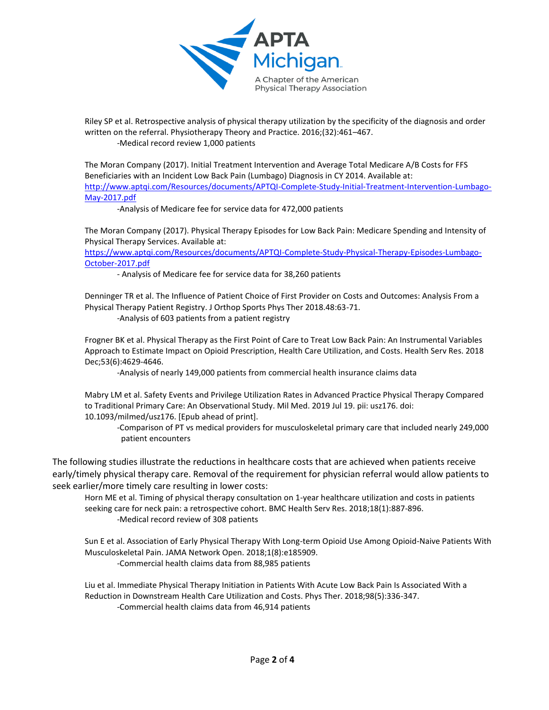

Riley SP et al. Retrospective analysis of physical therapy utilization by the specificity of the diagnosis and order written on the referral. Physiotherapy Theory and Practice. 2016;(32):461–467. -Medical record review 1,000 patients

The Moran Company (2017). Initial Treatment Intervention and Average Total Medicare A/B Costs for FFS Beneficiaries with an Incident Low Back Pain (Lumbago) Diagnosis in CY 2014. Available at: [http://www.aptqi.com/Resources/documents/APTQI-Complete-Study-Initial-Treatment-Intervention-Lumbago-](http://www.aptqi.com/Resources/documents/APTQI-Complete-Study-Initial-Treatment-Intervention-Lumbago-May-2017.pdf)[May-2017.pdf](http://www.aptqi.com/Resources/documents/APTQI-Complete-Study-Initial-Treatment-Intervention-Lumbago-May-2017.pdf)

-Analysis of Medicare fee for service data for 472,000 patients

The Moran Company (2017). Physical Therapy Episodes for Low Back Pain: Medicare Spending and Intensity of Physical Therapy Services. Available at:

[https://www.aptqi.com/Resources/documents/APTQI-Complete-Study-Physical-Therapy-Episodes-Lumbago-](https://www.aptqi.com/Resources/documents/APTQI-Complete-Study-Physical-Therapy-Episodes-Lumbago-October-2017.pdf)[October-2017.pdf](https://www.aptqi.com/Resources/documents/APTQI-Complete-Study-Physical-Therapy-Episodes-Lumbago-October-2017.pdf)

- Analysis of Medicare fee for service data for 38,260 patients

Denninger TR et al. The Influence of Patient Choice of First Provider on Costs and Outcomes: Analysis From a Physical Therapy Patient Registry. J Orthop Sports Phys Ther 2018.48:63-71. -Analysis of 603 patients from a patient registry

Frogner BK et al. Physical Therapy as the First Point of Care to Treat Low Back Pain: An Instrumental Variables Approach to Estimate Impact on Opioid Prescription, Health Care Utilization, and Costs. Health Serv Res. 2018 Dec;53(6):4629-4646.

-Analysis of nearly 149,000 patients from commercial health insurance claims data

Mabry LM et al. Safety Events and Privilege Utilization Rates in Advanced Practice Physical Therapy Compared to Traditional Primary Care: An Observational Study. Mil Med. 2019 Jul 19. pii: usz176. doi: 10.1093/milmed/usz176. [Epub ahead of print].

-Comparison of PT vs medical providers for musculoskeletal primary care that included nearly 249,000 patient encounters

The following studies illustrate the reductions in healthcare costs that are achieved when patients receive early/timely physical therapy care. Removal of the requirement for physician referral would allow patients to seek earlier/more timely care resulting in lower costs:

Horn ME et al. Timing of physical therapy consultation on 1-year healthcare utilization and costs in patients seeking care for neck pain: a retrospective cohort. BMC Health Serv Res. 2018;18(1):887-896. -Medical record review of 308 patients

Sun E et al. Association of Early Physical Therapy With Long-term Opioid Use Among Opioid-Naive Patients With Musculoskeletal Pain. JAMA Network Open. 2018;1(8):e185909. -Commercial health claims data from 88,985 patients

Liu et al. Immediate Physical Therapy Initiation in Patients With Acute Low Back Pain Is Associated With a Reduction in Downstream Health Care Utilization and Costs. Phys Ther. 2018;98(5):336-347. -Commercial health claims data from 46,914 patients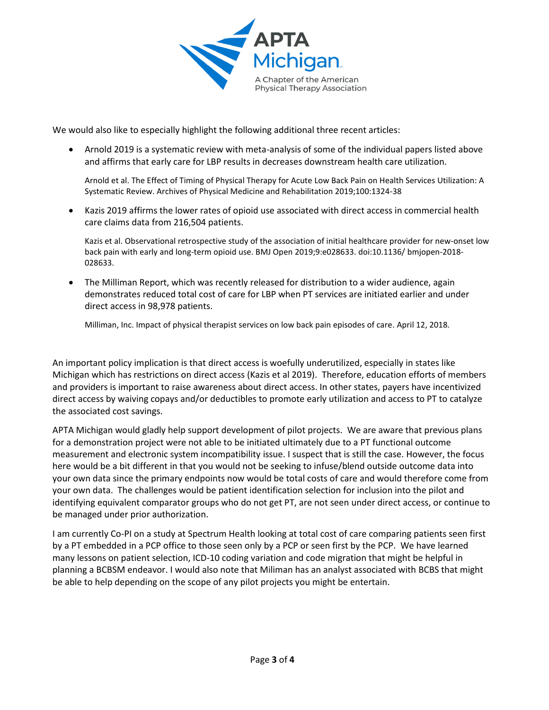

We would also like to especially highlight the following additional three recent articles:

• Arnold 2019 is a systematic review with meta-analysis of some of the individual papers listed above and affirms that early care for LBP results in decreases downstream health care utilization.

Arnold et al. The Effect of Timing of Physical Therapy for Acute Low Back Pain on Health Services Utilization: A Systematic Review. Archives of Physical Medicine and Rehabilitation 2019;100:1324-38

• Kazis 2019 affirms the lower rates of opioid use associated with direct access in commercial health care claims data from 216,504 patients.

Kazis et al. Observational retrospective study of the association of initial healthcare provider for new-onset low back pain with early and long-term opioid use. BMJ Open 2019;9:e028633. doi:10.1136/ bmjopen-2018- 028633.

• The Milliman Report, which was recently released for distribution to a wider audience, again demonstrates reduced total cost of care for LBP when PT services are initiated earlier and under direct access in 98,978 patients.

Milliman, Inc. Impact of physical therapist services on low back pain episodes of care. April 12, 2018.

An important policy implication is that direct access is woefully underutilized, especially in states like Michigan which has restrictions on direct access (Kazis et al 2019). Therefore, education efforts of members and providers is important to raise awareness about direct access. In other states, payers have incentivized direct access by waiving copays and/or deductibles to promote early utilization and access to PT to catalyze the associated cost savings.

APTA Michigan would gladly help support development of pilot projects. We are aware that previous plans for a demonstration project were not able to be initiated ultimately due to a PT functional outcome measurement and electronic system incompatibility issue. I suspect that is still the case. However, the focus here would be a bit different in that you would not be seeking to infuse/blend outside outcome data into your own data since the primary endpoints now would be total costs of care and would therefore come from your own data. The challenges would be patient identification selection for inclusion into the pilot and identifying equivalent comparator groups who do not get PT, are not seen under direct access, or continue to be managed under prior authorization.

I am currently Co-PI on a study at Spectrum Health looking at total cost of care comparing patients seen first by a PT embedded in a PCP office to those seen only by a PCP or seen first by the PCP. We have learned many lessons on patient selection, ICD-10 coding variation and code migration that might be helpful in planning a BCBSM endeavor. I would also note that Miliman has an analyst associated with BCBS that might be able to help depending on the scope of any pilot projects you might be entertain.